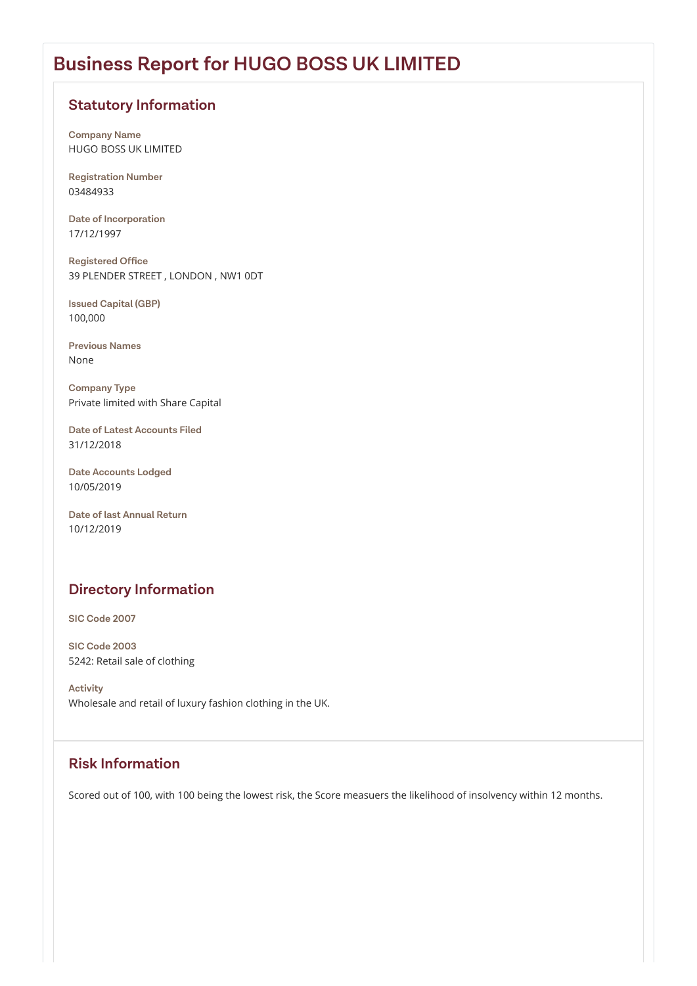# **Business Report for HUGO BOSS UK LIMITED**

#### **Directory Information**

### **Statutory Information**

**Company Name** HUGO BOSS UK LIMITED

**Registration Number** 03484933

**Date of Incorporation** 17/12/1997

**Registered Office** 39 PLENDER STREET , LONDON , NW1 0DT

**Issued Capital (GBP)** 100,000

**Previous Names** None

**Company Type** Private limited with Share Capital

**Date of Latest Accounts Filed** 31/12/2018

**Date Accounts Lodged** 10/05/2019

**Date of last Annual Return** 10/12/2019

**SIC Code 2007**

**SIC Code 2003** 5242: Retail sale of clothing

**Activity** Wholesale and retail of luxury fashion clothing in the UK.

Scored out of 100, with 100 being the lowest risk, the Score measuers the likelihood of insolvency within 12 months.

### **Risk Information**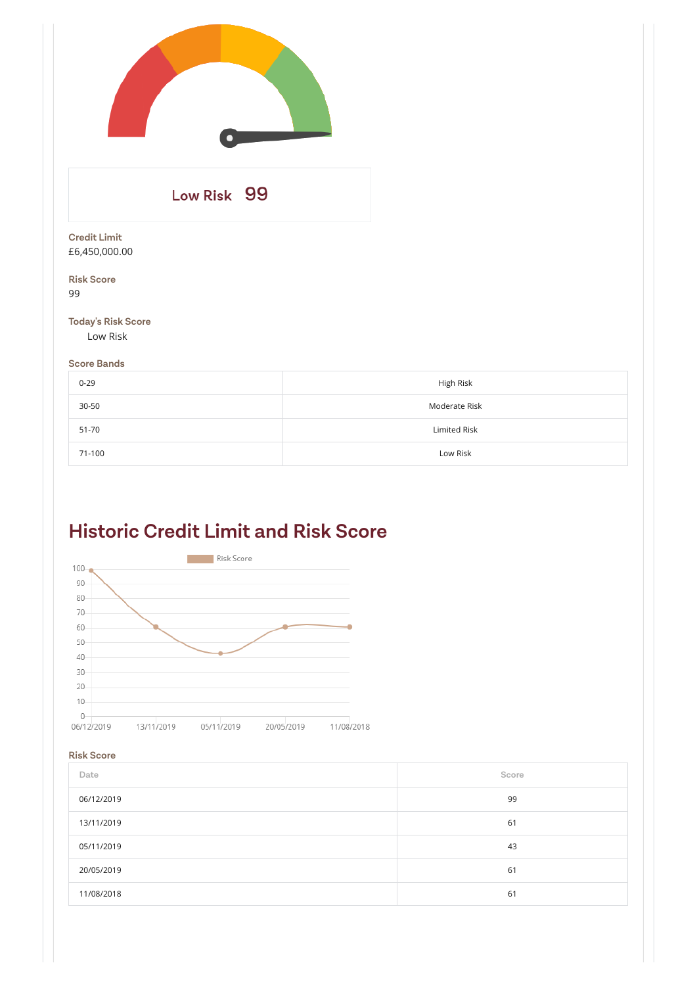# **Historic Credit Limit and Risk Score**



#### **Risk Score**

| Date       | Score |
|------------|-------|
| 06/12/2019 | 99    |
| 13/11/2019 | 61    |
| 05/11/2019 | 43    |
| 20/05/2019 | 61    |
| 11/08/2018 | 61    |

| Low Risk 99                           |               |
|---------------------------------------|---------------|
| <b>Credit Limit</b><br>£6,450,000.00  |               |
| <b>Risk Score</b><br>99               |               |
| <b>Today's Risk Score</b><br>Low Risk |               |
| <b>Score Bands</b>                    |               |
| $0 - 29$                              | High Risk     |
| $30 - 50$                             | Moderate Risk |
| 51-70                                 | Limited Risk  |
| 71-100                                | Low Risk      |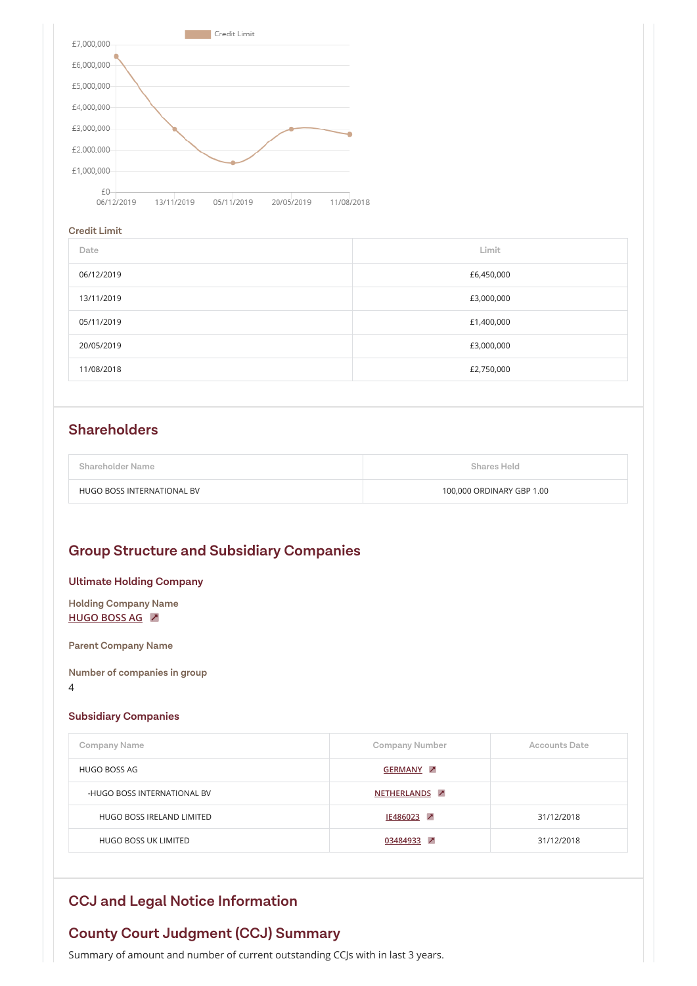

#### **Credit Limit**

| Date       | Limit      |
|------------|------------|
| 06/12/2019 | £6,450,000 |
| 13/11/2019 | £3,000,000 |
| 05/11/2019 | £1,400,000 |
| 20/05/2019 | £3,000,000 |
| 11/08/2018 | £2,750,000 |

| <b>Shareholder Name</b>    | <b>Shares Held</b>        |
|----------------------------|---------------------------|
| HUGO BOSS INTERNATIONAL BV | 100,000 ORDINARY GBP 1.00 |

#### **Group Structure and Subsidiary Companies**

#### **Ultimate Holding Company**

#### **Subsidiary Companies**

| <b>Company Name</b>         | <b>Company Number</b> | <b>Accounts Date</b> |
|-----------------------------|-----------------------|----------------------|
| HUGO BOSS AG                | <b>GERMANY 7</b>      |                      |
| -HUGO BOSS INTERNATIONAL BV | <b>NETHERLANDS</b>    |                      |
| HUGO BOSS IRELAND LIMITED   | IE486023 <del>2</del> | 31/12/2018           |
| HUGO BOSS UK LIMITED        | 03484933 7            | 31/12/2018           |

### **Shareholders**

**Holding Company Name [HUGO BOSS AG](http://localhost:65300/Company/SearchCompanyResults.aspx?company=GERMANY<d=limited&country=UK)**

**Parent Company Name**

**Number of companies in group**

4

### **County Court Judgment (CCJ) Summary**

Summary of amount and number of current outstanding CCJs with in last 3 years.

### **CCJ and Legal Notice Information**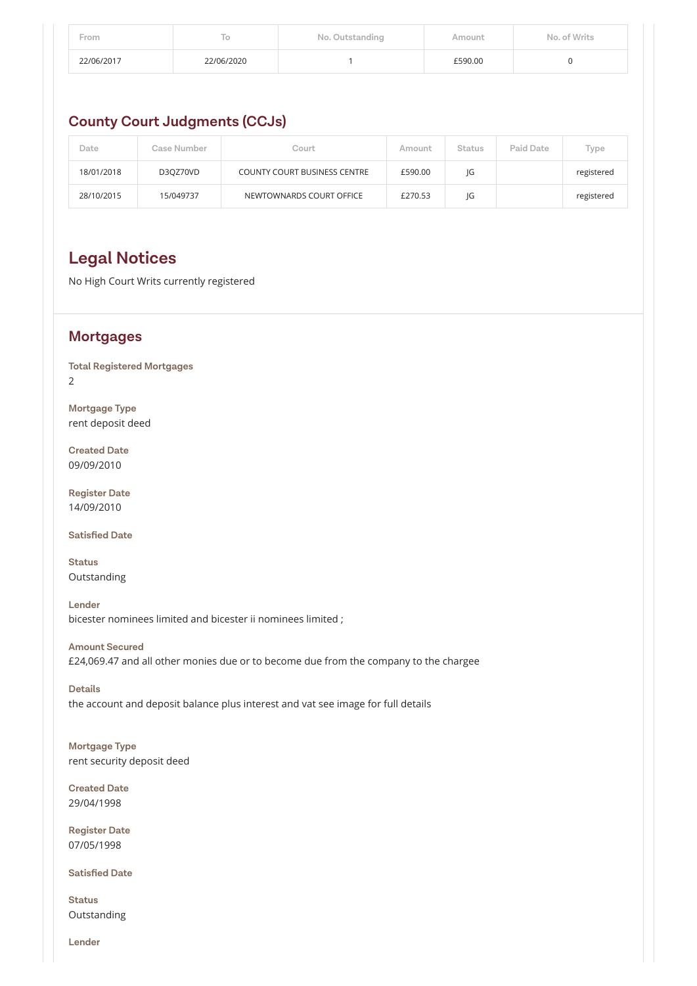| From       |            | No. Outstanding | Amount  | No. of Writs |
|------------|------------|-----------------|---------|--------------|
| 22/06/2017 | 22/06/2020 |                 | £590.00 |              |

#### **County Court Judgments (CCJs)**

| Date       | Case Number | Court                               | Amount  | <b>Status</b> | <b>Paid Date</b> | Type       |
|------------|-------------|-------------------------------------|---------|---------------|------------------|------------|
| 18/01/2018 | D3QZ70VD    | <b>COUNTY COURT BUSINESS CENTRE</b> | £590.00 | JG            |                  | registered |
| 28/10/2015 | 15/049737   | NEWTOWNARDS COURT OFFICE            | £270.53 | JG            |                  | registered |

# **Legal Notices**

No High Court Writs currently registered

#### **Mortgages**

**Total Registered Mortgages** 2

**Mortgage Type** rent deposit deed

**Created Date** 09/09/2010

**Register Date** 14/09/2010

**Satisfied Date**

**Status** Outstanding

**Lender** bicester nominees limited and bicester ii nominees limited ;

**Amount Secured** £24,069.47 and all other monies due or to become due from the company to the chargee

**Details**

the account and deposit balance plus interest and vat see image for full details

**Mortgage Type** rent security deposit deed

**Created Date** 29/04/1998

**Register Date** 07/05/1998

**Satisfied Date**

**Status** Outstanding

**Lender**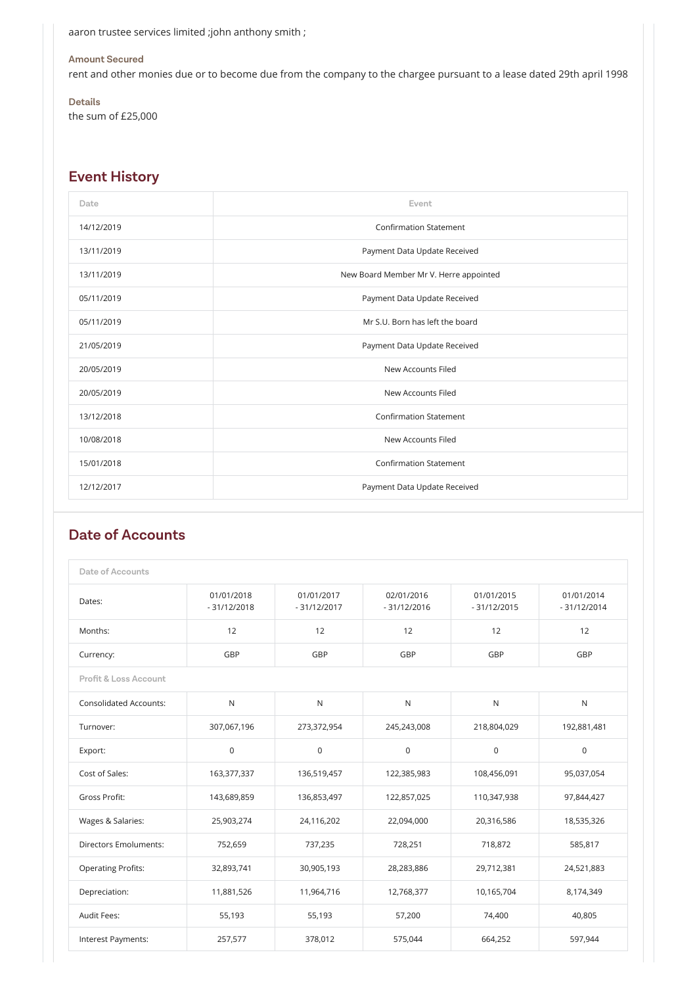## **Event History**

| Date       | Event                                  |
|------------|----------------------------------------|
| 14/12/2019 | <b>Confirmation Statement</b>          |
| 13/11/2019 | Payment Data Update Received           |
| 13/11/2019 | New Board Member Mr V. Herre appointed |
| 05/11/2019 | Payment Data Update Received           |
| 05/11/2019 | Mr S.U. Born has left the board        |
| 21/05/2019 | Payment Data Update Received           |
| 20/05/2019 | <b>New Accounts Filed</b>              |
| 20/05/2019 | New Accounts Filed                     |
| 13/12/2018 | <b>Confirmation Statement</b>          |
| 10/08/2018 | New Accounts Filed                     |
| 15/01/2018 | <b>Confirmation Statement</b>          |
| 12/12/2017 | Payment Data Update Received           |

aaron trustee services limited ;john anthony smith ;

#### **Amount Secured**

rent and other monies due or to become due from the company to the chargee pursuant to a lease dated 29th april 1998

**Details** the sum of £25,000

| <b>Date of Accounts</b>          |                             |                             |                             |                             |                             |
|----------------------------------|-----------------------------|-----------------------------|-----------------------------|-----------------------------|-----------------------------|
| Dates:                           | 01/01/2018<br>$-31/12/2018$ | 01/01/2017<br>$-31/12/2017$ | 02/01/2016<br>$-31/12/2016$ | 01/01/2015<br>$-31/12/2015$ | 01/01/2014<br>$-31/12/2014$ |
| Months:                          | 12                          | 12                          | 12                          | 12                          | 12                          |
| Currency:                        | GBP                         | GBP                         | GBP                         | GBP                         | GBP                         |
| <b>Profit &amp; Loss Account</b> |                             |                             |                             |                             |                             |
| <b>Consolidated Accounts:</b>    | ${\sf N}$                   | ${\sf N}$                   | $\mathsf{N}$                | ${\sf N}$                   | $\mathsf{N}$                |
| Turnover:                        | 307,067,196                 | 273,372,954                 | 245,243,008                 | 218,804,029                 | 192,881,481                 |
| Export:                          | $\overline{0}$              | $\mathbf 0$                 | $\mathbf 0$                 | $\mathbf 0$                 | $\mathsf 0$                 |
| Cost of Sales:                   | 163,377,337                 | 136,519,457                 | 122,385,983                 | 108,456,091                 | 95,037,054                  |
| Gross Profit:                    | 143,689,859                 | 136,853,497                 | 122,857,025                 | 110,347,938                 | 97,844,427                  |
| Wages & Salaries:                | 25,903,274                  | 24,116,202                  | 22,094,000                  | 20,316,586                  | 18,535,326                  |
| <b>Directors Emoluments:</b>     | 752,659                     | 737,235                     | 728,251                     | 718,872                     | 585,817                     |
| <b>Operating Profits:</b>        | 32,893,741                  | 30,905,193                  | 28,283,886                  | 29,712,381                  | 24,521,883                  |
| Depreciation:                    | 11,881,526                  | 11,964,716                  | 12,768,377                  | 10,165,704                  | 8,174,349                   |
| Audit Fees:                      | 55,193                      | 55,193                      | 57,200                      | 74,400                      | 40,805                      |
| Interest Payments:               | 257,577                     | 378,012                     | 575,044                     | 664,252                     | 597,944                     |

#### **Date of Accounts**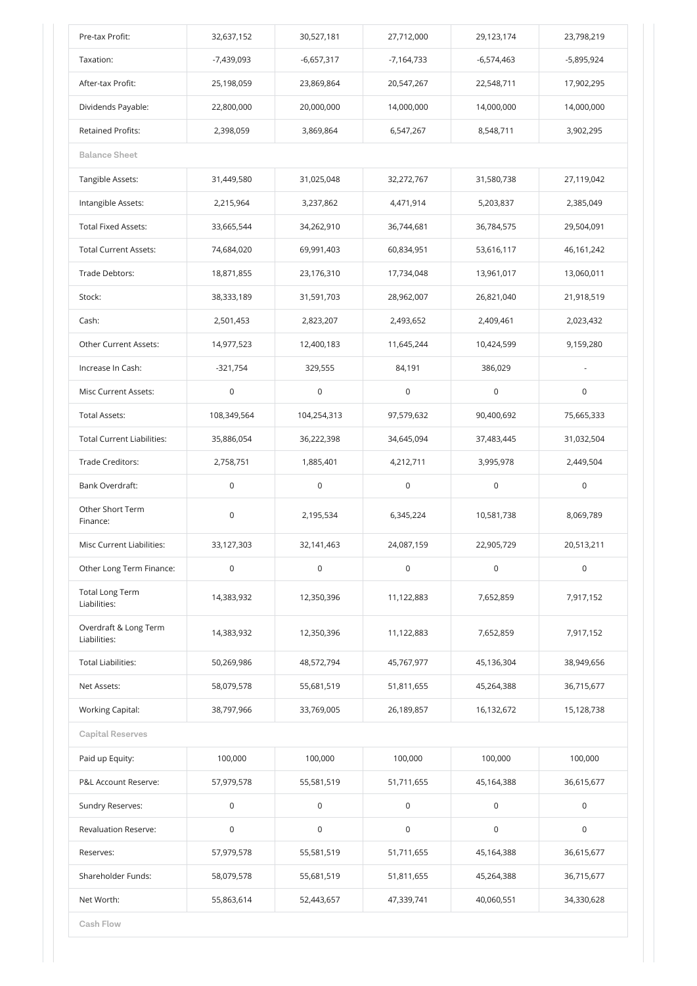| Pre-tax Profit:                        | 32,637,152   | 30,527,181   | 27,712,000          | 29,123,174   | 23,798,219   |
|----------------------------------------|--------------|--------------|---------------------|--------------|--------------|
| Taxation:                              | $-7,439,093$ | $-6,657,317$ | $-7,164,733$        | $-6,574,463$ | $-5,895,924$ |
| After-tax Profit:                      | 25,198,059   | 23,869,864   | 20,547,267          | 22,548,711   | 17,902,295   |
| Dividends Payable:                     | 22,800,000   | 20,000,000   | 14,000,000          | 14,000,000   | 14,000,000   |
| <b>Retained Profits:</b>               | 2,398,059    | 3,869,864    | 6,547,267           | 8,548,711    | 3,902,295    |
| <b>Balance Sheet</b>                   |              |              |                     |              |              |
| Tangible Assets:                       | 31,449,580   | 31,025,048   | 32,272,767          | 31,580,738   | 27,119,042   |
| Intangible Assets:                     | 2,215,964    | 3,237,862    | 4,471,914           | 5,203,837    | 2,385,049    |
| <b>Total Fixed Assets:</b>             | 33,665,544   | 34,262,910   | 36,744,681          | 36,784,575   | 29,504,091   |
| <b>Total Current Assets:</b>           | 74,684,020   | 69,991,403   | 60,834,951          | 53,616,117   | 46,161,242   |
| Trade Debtors:                         | 18,871,855   | 23,176,310   | 17,734,048          | 13,961,017   | 13,060,011   |
| Stock:                                 | 38,333,189   | 31,591,703   | 28,962,007          | 26,821,040   | 21,918,519   |
| Cash:                                  | 2,501,453    | 2,823,207    | 2,493,652           | 2,409,461    | 2,023,432    |
| Other Current Assets:                  | 14,977,523   | 12,400,183   | 11,645,244          | 10,424,599   | 9,159,280    |
| Increase In Cash:                      | $-321,754$   | 329,555      | 84,191              | 386,029      |              |
| Misc Current Assets:                   | 0            | 0            | 0                   | 0            | 0            |
| <b>Total Assets:</b>                   | 108,349,564  | 104,254,313  | 97,579,632          | 90,400,692   | 75,665,333   |
| <b>Total Current Liabilities:</b>      | 35,886,054   | 36,222,398   | 34,645,094          | 37,483,445   | 31,032,504   |
| Trade Creditors:                       | 2,758,751    | 1,885,401    | 4,212,711           | 3,995,978    | 2,449,504    |
| <b>Bank Overdraft:</b>                 | $\mathsf 0$  | $\mathsf 0$  | $\mathsf 0$         | $\mathsf 0$  | $\mathsf 0$  |
| Other Short Term<br>Finance:           | $\mathsf 0$  | 2,195,534    | 6,345,224           | 10,581,738   | 8,069,789    |
| <b>Misc Current Liabilities:</b>       | 33,127,303   | 32,141,463   | 24,087,159          | 22,905,729   | 20,513,211   |
| Other Long Term Finance:               | $\mathsf 0$  | $\mathsf 0$  | $\mathsf{O}\xspace$ | $\mathsf 0$  | $\mathsf 0$  |
| <b>Total Long Term</b><br>Liabilities: | 14,383,932   | 12,350,396   | 11,122,883          | 7,652,859    | 7,917,152    |
| Overdraft & Long Term<br>Liabilities:  | 14,383,932   | 12,350,396   | 11,122,883          | 7,652,859    | 7,917,152    |
| <b>Total Liabilities:</b>              | 50,269,986   | 48,572,794   | 45,767,977          | 45,136,304   | 38,949,656   |
| Net Assets:                            | 58,079,578   | 55,681,519   | 51,811,655          | 45,264,388   | 36,715,677   |
| <b>Working Capital:</b>                | 38,797,966   | 33,769,005   | 26,189,857          | 16,132,672   | 15,128,738   |

**Capital Reserves**

| Paid up Equity:                 | 100,000     | 100,000          | 100,000     | 100,000          | 100,000     |
|---------------------------------|-------------|------------------|-------------|------------------|-------------|
| <b>P&amp;L Account Reserve:</b> | 57,979,578  | 55,581,519       | 51,711,655  | 45,164,388       | 36,615,677  |
| Sundry Reserves:                | $\mathbf 0$ | $\boldsymbol{0}$ | $\mathbf 0$ | $\mathbf 0$      | $\mathsf 0$ |
| <b>Revaluation Reserve:</b>     | 0           | $\boldsymbol{0}$ | $\mathbf 0$ | $\boldsymbol{0}$ | $\mathsf 0$ |
| Reserves:                       | 57,979,578  | 55,581,519       | 51,711,655  | 45,164,388       | 36,615,677  |
| Shareholder Funds:              | 58,079,578  | 55,681,519       | 51,811,655  | 45,264,388       | 36,715,677  |
| Net Worth:                      | 55,863,614  | 52,443,657       | 47,339,741  | 40,060,551       | 34,330,628  |
| <b>Cash Flow</b>                |             |                  |             |                  |             |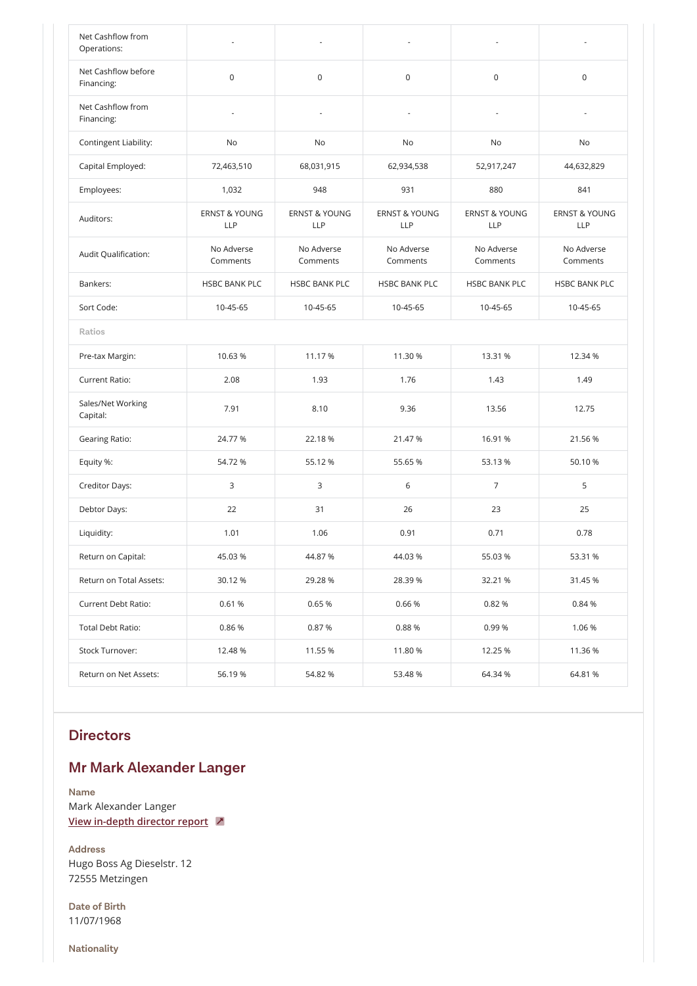| Net Cashflow from<br>Operations:  |                                        |                                        | $\overline{\phantom{a}}$               |                                        |                                        |
|-----------------------------------|----------------------------------------|----------------------------------------|----------------------------------------|----------------------------------------|----------------------------------------|
| Net Cashflow before<br>Financing: | $\mathsf{O}\xspace$                    | $\mathsf 0$                            | $\mathsf 0$                            | $\mathsf 0$                            | $\mathsf 0$                            |
| Net Cashflow from<br>Financing:   |                                        |                                        |                                        |                                        |                                        |
| Contingent Liability:             | No                                     | No                                     | No                                     | No                                     | No                                     |
| Capital Employed:                 | 72,463,510                             | 68,031,915                             | 62,934,538                             | 52,917,247                             | 44,632,829                             |
| Employees:                        | 1,032                                  | 948                                    | 931                                    | 880                                    | 841                                    |
| Auditors:                         | <b>ERNST &amp; YOUNG</b><br><b>LLP</b> | <b>ERNST &amp; YOUNG</b><br><b>LLP</b> | <b>ERNST &amp; YOUNG</b><br><b>LLP</b> | <b>ERNST &amp; YOUNG</b><br><b>LLP</b> | <b>ERNST &amp; YOUNG</b><br><b>LLP</b> |
| Audit Qualification:              | No Adverse<br>Comments                 | No Adverse<br>Comments                 | No Adverse<br>Comments                 | No Adverse<br>Comments                 | No Adverse<br>Comments                 |
| Bankers:                          | <b>HSBC BANK PLC</b>                   | <b>HSBC BANK PLC</b>                   | <b>HSBC BANK PLC</b>                   | <b>HSBC BANK PLC</b>                   | <b>HSBC BANK PLC</b>                   |
| Sort Code:                        | 10-45-65                               | 10-45-65                               | 10-45-65                               | 10-45-65                               | 10-45-65                               |
| <b>Ratios</b>                     |                                        |                                        |                                        |                                        |                                        |
| Pre-tax Margin:                   | 10.63 %                                | 11.17 %                                | 11.30 %                                | 13.31 %                                | 12.34 %                                |
| <b>Current Ratio:</b>             | 2.08                                   | 1.93                                   | 1.76                                   | 1.43                                   | 1.49                                   |
| Sales/Net Working<br>Capital:     | 7.91                                   | 8.10                                   | 9.36                                   | 13.56                                  | 12.75                                  |
| <b>Gearing Ratio:</b>             | 24.77 %                                | 22.18 %                                | 21.47 %                                | 16.91 %                                | 21.56 %                                |
| Equity %:                         | 54.72 %                                | 55.12 %                                | 55.65 %                                | 53.13 %                                | 50.10 %                                |
| Creditor Days:                    | 3                                      | 3                                      | 6                                      | $\overline{7}$                         | 5                                      |
| Debtor Days:                      | 22                                     | 31                                     | 26                                     | 23                                     | 25                                     |
| Liquidity:                        | 1.01                                   | 1.06                                   | 0.91                                   | 0.71                                   | 0.78                                   |
| Return on Capital:                | 45.03 %                                | 44.87 %                                | 44.03 %                                | 55.03 %                                | 53.31 %                                |
| Return on Total Assets:           | 30.12 %                                | 29.28 %                                | 28.39 %                                | 32.21 %                                | 31.45 %                                |
| Current Debt Ratio:               | 0.61 %                                 | 0.65 %                                 | 0.66%                                  | 0.82 %                                 | 0.84 %                                 |
| Total Debt Ratio:                 | 0.86%                                  | 0.87%                                  | 0.88%                                  | 0.99%                                  | 1.06 %                                 |
| Stock Turnover:                   | 12.48 %                                | 11.55 %                                | 11.80 %                                | 12.25 %                                | 11.36 %                                |
| Return on Net Assets:             | 56.19%                                 | 54.82 %                                | 53.48 %                                | 64.34 %                                | 64.81 %                                |

### **Mr Mark Alexander Langer**

#### **Directors**

**Name**

Mark Alexander Langer

**[View in-depth director report](http://localhost:65300/Company/AmlReport.aspx?name=Mark%20Alexander%20Langer&dob=11/07/1968&address1=Hugo%20Boss%20Ag%20Dieselstr.%2012&address2=&address3=72555%20Metzingen&address4=&address5=&address6=&postcode=&route=reportredirect)**

**Address**

Hugo Boss Ag Dieselstr. 12 72555 Metzingen

**Date of Birth** 11/07/1968

**Nationality**